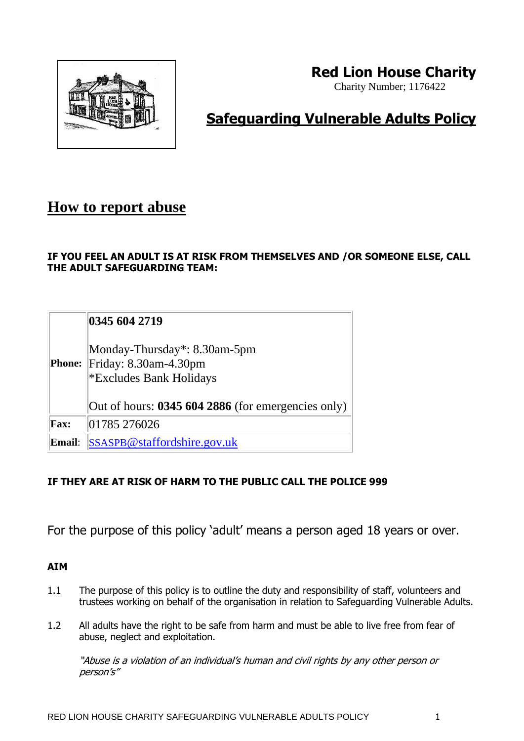

# **Red Lion House Charity**

Charity Number; 1176422

# **Safeguarding Vulnerable Adults Policy**

## **How to report abuse**

## **IF YOU FEEL AN ADULT IS AT RISK FROM THEMSELVES AND /OR SOMEONE ELSE, CALL THE ADULT SAFEGUARDING TEAM:**

|               | 0345 604 2719                                                                    |
|---------------|----------------------------------------------------------------------------------|
| <b>Phone:</b> | Monday-Thursday*: 8.30am-5pm<br>Friday: 8.30am-4.30pm<br>*Excludes Bank Holidays |
|               | Out of hours: 0345 604 2886 (for emergencies only)                               |
| <b>Fax:</b>   | 01785 276026                                                                     |
| Email:        | SSASPB@staffordshire.gov.uk                                                      |

## **IF THEY ARE AT RISK OF HARM TO THE PUBLIC CALL THE POLICE 999**

For the purpose of this policy 'adult' means a person aged 18 years or over.

## **AIM**

- 1.1 The purpose of this policy is to outline the duty and responsibility of staff, volunteers and trustees working on behalf of the organisation in relation to Safeguarding Vulnerable Adults.
- 1.2 All adults have the right to be safe from harm and must be able to live free from fear of abuse, neglect and exploitation.

"Abuse is a violation of an individual's human and civil rights by any other person or person's"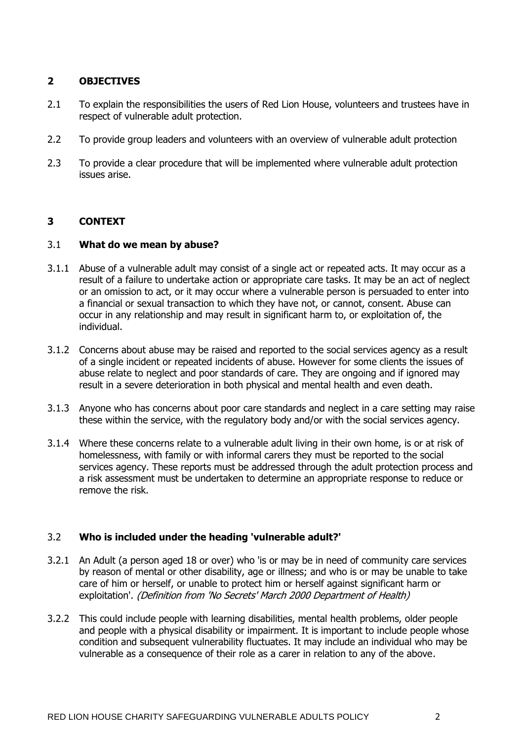#### **2 OBJECTIVES**

- 2.1 To explain the responsibilities the users of Red Lion House, volunteers and trustees have in respect of vulnerable adult protection.
- 2.2 To provide group leaders and volunteers with an overview of vulnerable adult protection
- 2.3 To provide a clear procedure that will be implemented where vulnerable adult protection issues arise.

#### **3 CONTEXT**

#### 3.1 **What do we mean by abuse?**

- 3.1.1 Abuse of a vulnerable adult may consist of a single act or repeated acts. It may occur as a result of a failure to undertake action or appropriate care tasks. It may be an act of neglect or an omission to act, or it may occur where a vulnerable person is persuaded to enter into a financial or sexual transaction to which they have not, or cannot, consent. Abuse can occur in any relationship and may result in significant harm to, or exploitation of, the individual.
- 3.1.2 Concerns about abuse may be raised and reported to the social services agency as a result of a single incident or repeated incidents of abuse. However for some clients the issues of abuse relate to neglect and poor standards of care. They are ongoing and if ignored may result in a severe deterioration in both physical and mental health and even death.
- 3.1.3 Anyone who has concerns about poor care standards and neglect in a care setting may raise these within the service, with the regulatory body and/or with the social services agency.
- 3.1.4 Where these concerns relate to a vulnerable adult living in their own home, is or at risk of homelessness, with family or with informal carers they must be reported to the social services agency. These reports must be addressed through the adult protection process and a risk assessment must be undertaken to determine an appropriate response to reduce or remove the risk.

#### 3.2 **Who is included under the heading 'vulnerable adult?'**

- 3.2.1 An Adult (a person aged 18 or over) who 'is or may be in need of community care services by reason of mental or other disability, age or illness; and who is or may be unable to take care of him or herself, or unable to protect him or herself against significant harm or exploitation'. (Definition from 'No Secrets' March 2000 Department of Health)
- 3.2.2 This could include people with learning disabilities, mental health problems, older people and people with a physical disability or impairment. It is important to include people whose condition and subsequent vulnerability fluctuates. It may include an individual who may be vulnerable as a consequence of their role as a carer in relation to any of the above.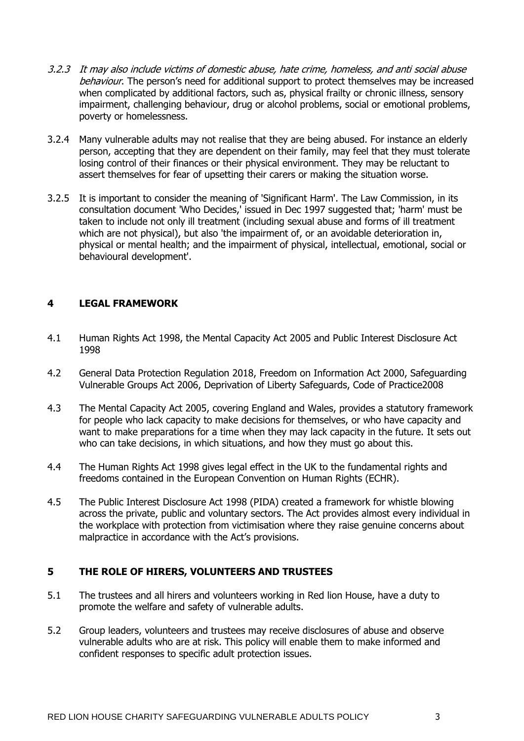- 3.2.3 It may also include victims of domestic abuse, hate crime, homeless, and anti social abuse behaviour. The person's need for additional support to protect themselves may be increased when complicated by additional factors, such as, physical frailty or chronic illness, sensory impairment, challenging behaviour, drug or alcohol problems, social or emotional problems, poverty or homelessness.
- 3.2.4 Many vulnerable adults may not realise that they are being abused. For instance an elderly person, accepting that they are dependent on their family, may feel that they must tolerate losing control of their finances or their physical environment. They may be reluctant to assert themselves for fear of upsetting their carers or making the situation worse.
- 3.2.5 It is important to consider the meaning of 'Significant Harm'. The Law Commission, in its consultation document 'Who Decides,' issued in Dec 1997 suggested that; 'harm' must be taken to include not only ill treatment (including sexual abuse and forms of ill treatment which are not physical), but also 'the impairment of, or an avoidable deterioration in, physical or mental health; and the impairment of physical, intellectual, emotional, social or behavioural development'.

### **4 LEGAL FRAMEWORK**

- 4.1 Human Rights Act 1998, the Mental Capacity Act 2005 and Public Interest Disclosure Act 1998
- 4.2 General Data Protection Regulation 2018, Freedom on Information Act 2000, Safeguarding Vulnerable Groups Act 2006, Deprivation of Liberty Safeguards, Code of Practice2008
- 4.3 The Mental Capacity Act 2005, covering England and Wales, provides a statutory framework for people who lack capacity to make decisions for themselves, or who have capacity and want to make preparations for a time when they may lack capacity in the future. It sets out who can take decisions, in which situations, and how they must go about this.
- 4.4 The Human Rights Act 1998 gives legal effect in the UK to the fundamental rights and freedoms contained in the European Convention on Human Rights (ECHR).
- 4.5 The Public Interest Disclosure Act 1998 (PIDA) created a framework for whistle blowing across the private, public and voluntary sectors. The Act provides almost every individual in the workplace with protection from victimisation where they raise genuine concerns about malpractice in accordance with the Act's provisions.

#### **5 THE ROLE OF HIRERS, VOLUNTEERS AND TRUSTEES**

- 5.1 The trustees and all hirers and volunteers working in Red lion House, have a duty to promote the welfare and safety of vulnerable adults.
- 5.2 Group leaders, volunteers and trustees may receive disclosures of abuse and observe vulnerable adults who are at risk. This policy will enable them to make informed and confident responses to specific adult protection issues.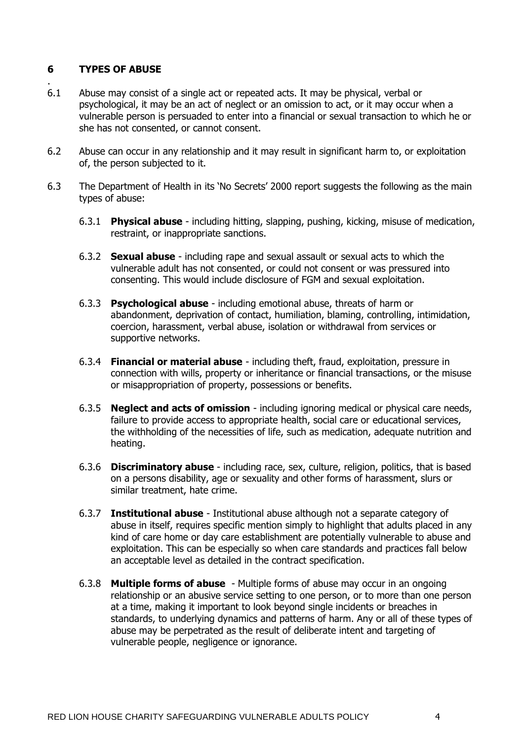### **6 TYPES OF ABUSE**

- . 6.1 Abuse may consist of a single act or repeated acts. It may be physical, verbal or psychological, it may be an act of neglect or an omission to act, or it may occur when a vulnerable person is persuaded to enter into a financial or sexual transaction to which he or she has not consented, or cannot consent.
- 6.2 Abuse can occur in any relationship and it may result in significant harm to, or exploitation of, the person subjected to it.
- 6.3 The Department of Health in its 'No Secrets' 2000 report suggests the following as the main types of abuse:
	- 6.3.1 **Physical abuse** including hitting, slapping, pushing, kicking, misuse of medication, restraint, or inappropriate sanctions.
	- 6.3.2 **Sexual abuse** including rape and sexual assault or sexual acts to which the vulnerable adult has not consented, or could not consent or was pressured into consenting. This would include disclosure of FGM and sexual exploitation.
	- 6.3.3 **Psychological abuse** including emotional abuse, threats of harm or abandonment, deprivation of contact, humiliation, blaming, controlling, intimidation, coercion, harassment, verbal abuse, isolation or withdrawal from services or supportive networks.
	- 6.3.4 **Financial or material abuse** including theft, fraud, exploitation, pressure in connection with wills, property or inheritance or financial transactions, or the misuse or misappropriation of property, possessions or benefits.
	- 6.3.5 **Neglect and acts of omission** including ignoring medical or physical care needs, failure to provide access to appropriate health, social care or educational services, the withholding of the necessities of life, such as medication, adequate nutrition and heating.
	- 6.3.6 **Discriminatory abuse** including race, sex, culture, religion, politics, that is based on a persons disability, age or sexuality and other forms of harassment, slurs or similar treatment, hate crime.
	- 6.3.7 **Institutional abuse** Institutional abuse although not a separate category of abuse in itself, requires specific mention simply to highlight that adults placed in any kind of care home or day care establishment are potentially vulnerable to abuse and exploitation. This can be especially so when care standards and practices fall below an acceptable level as detailed in the contract specification.
	- 6.3.8 **Multiple forms of abuse** Multiple forms of abuse may occur in an ongoing relationship or an abusive service setting to one person, or to more than one person at a time, making it important to look beyond single incidents or breaches in standards, to underlying dynamics and patterns of harm. Any or all of these types of abuse may be perpetrated as the result of deliberate intent and targeting of vulnerable people, negligence or ignorance.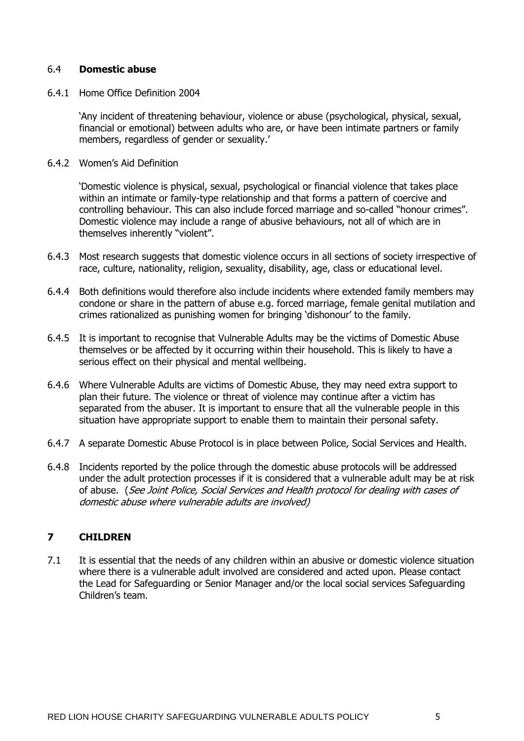#### 6.4 **Domestic abuse**

6.4.1 Home Office Definition 2004

'Any incident of threatening behaviour, violence or abuse (psychological, physical, sexual, financial or emotional) between adults who are, or have been intimate partners or family members, regardless of gender or sexuality.'

6.4.2 Women's Aid Definition

'Domestic violence is physical, sexual, psychological or financial violence that takes place within an intimate or family-type relationship and that forms a pattern of coercive and controlling behaviour. This can also include forced marriage and so-called "honour crimes". Domestic violence may include a range of abusive behaviours, not all of which are in themselves inherently "violent".

- 6.4.3 Most research suggests that domestic violence occurs in all sections of society irrespective of race, culture, nationality, religion, sexuality, disability, age, class or educational level.
- 6.4.4 Both definitions would therefore also include incidents where extended family members may condone or share in the pattern of abuse e.g. forced marriage, female genital mutilation and crimes rationalized as punishing women for bringing 'dishonour' to the family.
- 6.4.5 It is important to recognise that Vulnerable Adults may be the victims of Domestic Abuse themselves or be affected by it occurring within their household. This is likely to have a serious effect on their physical and mental wellbeing.
- 6.4.6 Where Vulnerable Adults are victims of Domestic Abuse, they may need extra support to plan their future. The violence or threat of violence may continue after a victim has separated from the abuser. It is important to ensure that all the vulnerable people in this situation have appropriate support to enable them to maintain their personal safety.
- 6.4.7 A separate Domestic Abuse Protocol is in place between Police, Social Services and Health.
- 6.4.8 Incidents reported by the police through the domestic abuse protocols will be addressed under the adult protection processes if it is considered that a vulnerable adult may be at risk of abuse. (See Joint Police, Social Services and Health protocol for dealing with cases of domestic abuse where vulnerable adults are involved)

#### **7 CHILDREN**

7.1 It is essential that the needs of any children within an abusive or domestic violence situation where there is a vulnerable adult involved are considered and acted upon. Please contact the Lead for Safeguarding or Senior Manager and/or the local social services Safeguarding Children's team.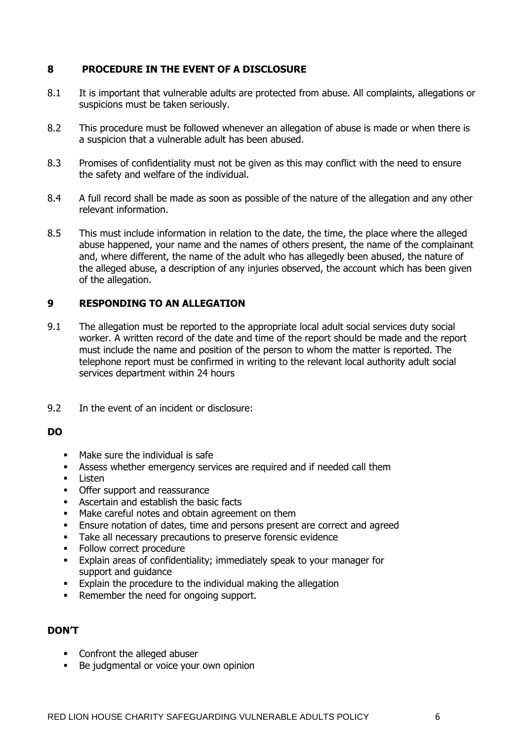### **8 PROCEDURE IN THE EVENT OF A DISCLOSURE**

- 8.1 It is important that vulnerable adults are protected from abuse. All complaints, allegations or suspicions must be taken seriously.
- 8.2 This procedure must be followed whenever an allegation of abuse is made or when there is a suspicion that a vulnerable adult has been abused.
- 8.3 Promises of confidentiality must not be given as this may conflict with the need to ensure the safety and welfare of the individual.
- 8.4 A full record shall be made as soon as possible of the nature of the allegation and any other relevant information.
- 8.5 This must include information in relation to the date, the time, the place where the alleged abuse happened, your name and the names of others present, the name of the complainant and, where different, the name of the adult who has allegedly been abused, the nature of the alleged abuse, a description of any injuries observed, the account which has been given of the allegation.

### **9 RESPONDING TO AN ALLEGATION**

- 9.1 The allegation must be reported to the appropriate local adult social services duty social worker. A written record of the date and time of the report should be made and the report must include the name and position of the person to whom the matter is reported. The telephone report must be confirmed in writing to the relevant local authority adult social services department within 24 hours
- 9.2 In the event of an incident or disclosure:

#### **DO**

- Make sure the individual is safe
- **EXECTS** Assess whether emergency services are required and if needed call them
- Listen
- **•** Offer support and reassurance
- Ascertain and establish the basic facts
- Make careful notes and obtain agreement on them
- **Ensure notation of dates, time and persons present are correct and agreed**
- Take all necessary precautions to preserve forensic evidence
- **•** Follow correct procedure
- Explain areas of confidentiality; immediately speak to your manager for support and guidance
- Explain the procedure to the individual making the allegation
- Remember the need for ongoing support.

#### **DON'T**

- Confront the alleged abuser
- Be judgmental or voice your own opinion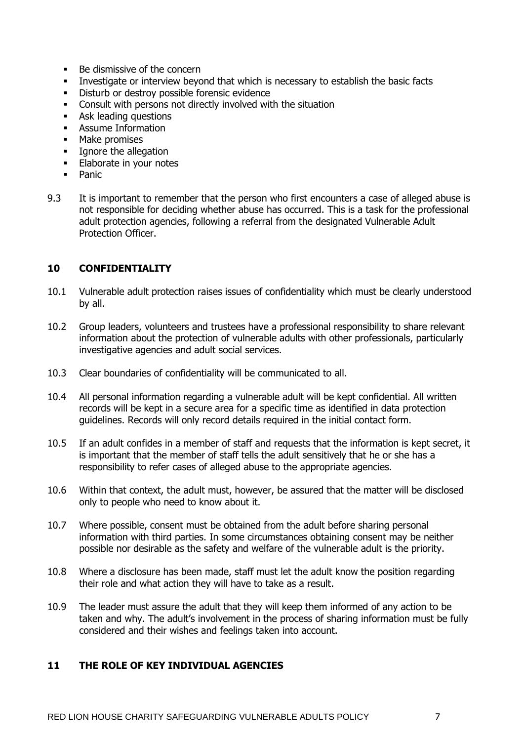- Be dismissive of the concern
- Investigate or interview beyond that which is necessary to establish the basic facts<br>■ Disturb or destroy possible forensic evidence
- Disturb or destroy possible forensic evidence
- Consult with persons not directly involved with the situation
- Ask leading questions
- Assume Information
- Make promises
- **•** Ignore the allegation
- **Elaborate in your notes**
- Panic
- 9.3 It is important to remember that the person who first encounters a case of alleged abuse is not responsible for deciding whether abuse has occurred. This is a task for the professional adult protection agencies, following a referral from the designated Vulnerable Adult Protection Officer.

### **10 CONFIDENTIALITY**

- 10.1 Vulnerable adult protection raises issues of confidentiality which must be clearly understood by all.
- 10.2 Group leaders, volunteers and trustees have a professional responsibility to share relevant information about the protection of vulnerable adults with other professionals, particularly investigative agencies and adult social services.
- 10.3 Clear boundaries of confidentiality will be communicated to all.
- 10.4 All personal information regarding a vulnerable adult will be kept confidential. All written records will be kept in a secure area for a specific time as identified in data protection guidelines. Records will only record details required in the initial contact form.
- 10.5 If an adult confides in a member of staff and requests that the information is kept secret, it is important that the member of staff tells the adult sensitively that he or she has a responsibility to refer cases of alleged abuse to the appropriate agencies.
- 10.6 Within that context, the adult must, however, be assured that the matter will be disclosed only to people who need to know about it.
- 10.7 Where possible, consent must be obtained from the adult before sharing personal information with third parties. In some circumstances obtaining consent may be neither possible nor desirable as the safety and welfare of the vulnerable adult is the priority.
- 10.8 Where a disclosure has been made, staff must let the adult know the position regarding their role and what action they will have to take as a result.
- 10.9 The leader must assure the adult that they will keep them informed of any action to be taken and why. The adult's involvement in the process of sharing information must be fully considered and their wishes and feelings taken into account.

#### **11 THE ROLE OF KEY INDIVIDUAL AGENCIES**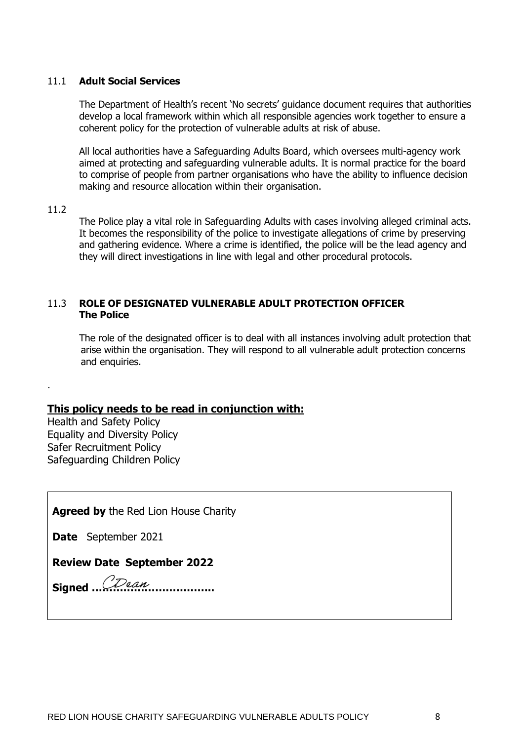#### 11.1 **Adult Social Services**

The Department of Health's recent 'No secrets' guidance document requires that authorities develop a local framework within which all responsible agencies work together to ensure a coherent policy for the protection of vulnerable adults at risk of abuse.

All local authorities have a Safeguarding Adults Board, which oversees multi-agency work aimed at protecting and safeguarding vulnerable adults. It is normal practice for the board to comprise of people from partner organisations who have the ability to influence decision making and resource allocation within their organisation.

#### 11.2

.

The Police play a vital role in Safeguarding Adults with cases involving alleged criminal acts. It becomes the responsibility of the police to investigate allegations of crime by preserving and gathering evidence. Where a crime is identified, the police will be the lead agency and they will direct investigations in line with legal and other procedural protocols.

#### 11.3 **ROLE OF DESIGNATED VULNERABLE ADULT PROTECTION OFFICER The Police**

The role of the designated officer is to deal with all instances involving adult protection that arise within the organisation. They will respond to all vulnerable adult protection concerns and enquiries.

#### **This policy needs to be read in conjunction with:**

Health and Safety Policy Equality and Diversity Policy Safer Recruitment Policy Safeguarding Children Policy

**Agreed by** the Red Lion House Charity

**Date** September 2021

**Review Date September 2022**

**Signed ……………………………..**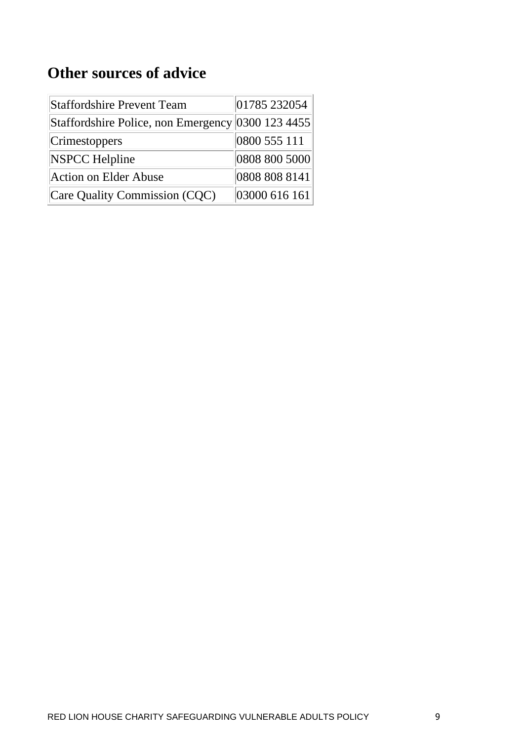# **Other sources of advice**

| <b>Staffordshire Prevent Team</b>                 | 01785 232054  |
|---------------------------------------------------|---------------|
| Staffordshire Police, non Emergency 0300 123 4455 |               |
| Crimestoppers                                     | 0800 555 111  |
| <b>NSPCC Helpline</b>                             | 0808 800 5000 |
| <b>Action on Elder Abuse</b>                      | 0808 808 8141 |
| Care Quality Commission (CQC)                     | 03000 616 161 |